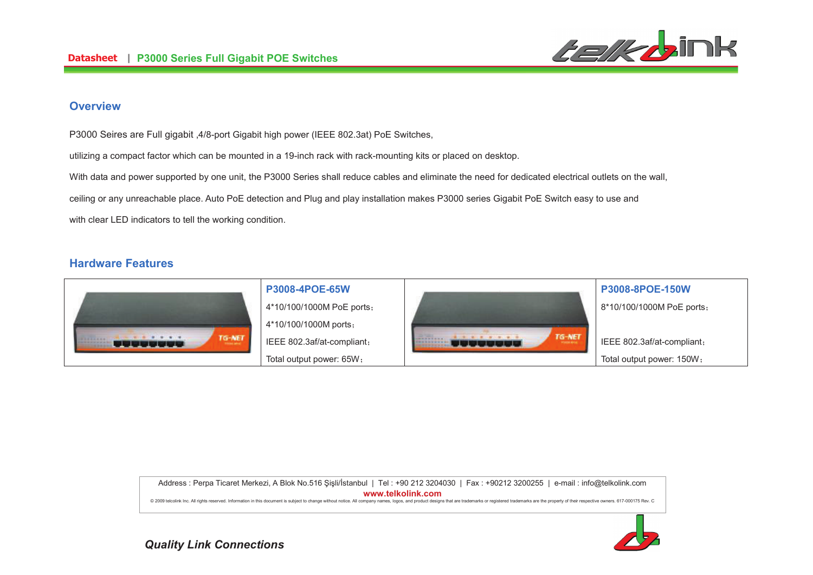

# **Overview**

P3000 Seires are Full gigabit ,4/8-port Gigabit high power (IEEE 802.3at) PoE Switches,

utilizing a compact factor which can be mounted in a 19-inch rack with rack-mounting kits or placed on desktop.

With data and power supported by one unit, the P3000 Series shall reduce cables and eliminate the need for dedicated electrical outlets on the wall.

ceiling or any unreachable place. Auto PoE detection and Plug and play installation makes P3000 series Gigabit PoE Switch easy to use and

with clear LED indicators to tell the working condition.

# **Hardware Features**



Address : Perpa Ticaret Merkezi, A Blok No.516 Şişli/İstanbul | Tel : +90 212 3204030 | Fax : +90212 3200255 | e-mail : info@telkolink.com **%%%&-&'**

@ 2009 telcolink Inc. All rights reserved. Information in this document is subject to change without notice. All company names, logos, and product designs that are trademarks or registered trademarks are the property of th



**Quality Link Connections**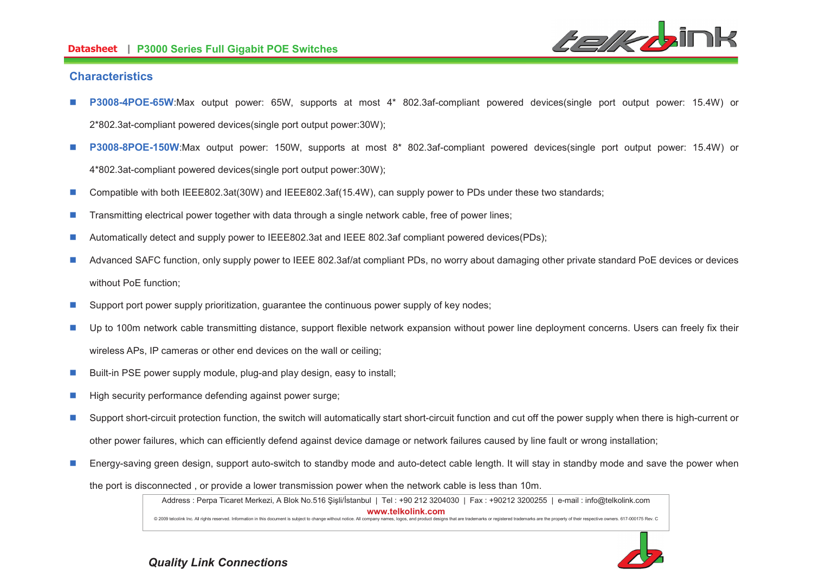#### **-- P3000 Series Full Gigabit POE Switches**



### **Characteristics**

- n **P3008-4POE-65W**:Max output power: 65W, supports at most 4\* 802.3af-compliant powered devices(single port output power: 15.4W) or 2\*802.3at-compliant powered devices(single port output power:30W);
- n **P3008-8POE-150W**:Max output power: 150W, supports at most 8\* 802.3af-compliant powered devices(single port output power: 15.4W) or 4\*802.3at-compliant powered devices(single port output power:30W);
- nCompatible with both IEEE802.3at(30W) and IEEE802.3af(15.4W), can supply power to PDs under these two standards;
- nTransmitting electrical power together with data through a single network cable, free of power lines;
- nAutomatically detect and supply power to IEEE802.3at and IEEE 802.3af compliant powered devices(PDs);
- n Advanced SAFC function, only supply power to IEEE 802.3af/at compliant PDs, no worry about damaging other private standard PoE devices or devices without PoE function;
- nSupport port power supply prioritization, guarantee the continuous power supply of key nodes;
- n Up to 100m network cable transmitting distance, support flexible network expansion without power line deployment concerns. Users can freely fix their wireless APs, IP cameras or other end devices on the wall or ceiling;
- nBuilt-in PSE power supply module, plug-and play design, easy to install;
- nHigh security performance defending against power surge;
- n Support short-circuit protection function, the switch will automatically start short-circuit function and cut off the power supply when there is high-current or other power failures, which can efficiently defend against device damage or network failures caused by line fault or wrong installation;
- nEnergy-saving green design, support auto-switch to standby mode and auto-detect cable length. It will stay in standby mode and save the power when

the port is disconnected , or provide a lower transmission power when the network cable is less than 10m.

Address : Perpa Ticaret Merkezi, A Blok No.516 Şişli/İstanbul | Tel : +90 212 3204030 | Fax : +90212 3200255 | e-mail : info@telkolink.com **%%%&-&'**@ 2009 telcolink Inc. All rights reserved. Information in this document is subject to change without notice. All company names, logos, and product designs that are trademarks or registered trademarks are the property of th



**Quality Link Connections**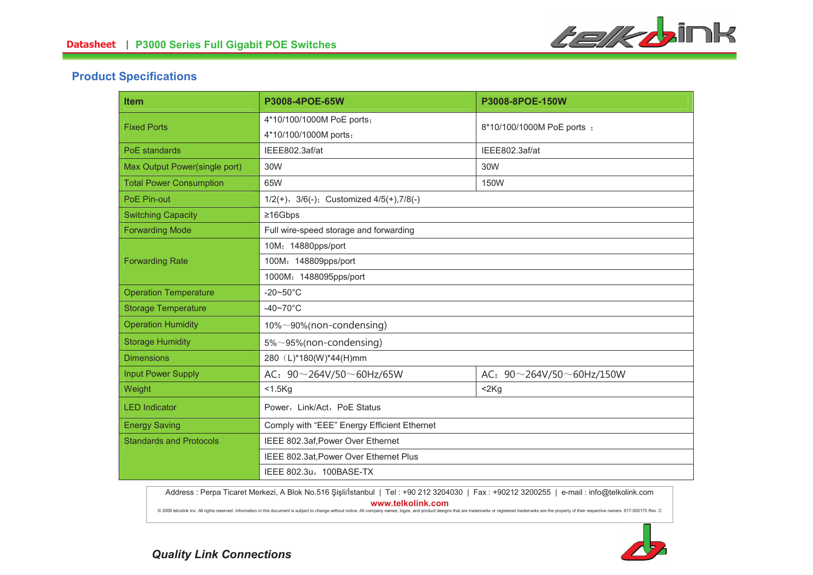

# **Product Specifications**

| <b>Item</b>                    | P3008-4POE-65W                                       | P3008-8POE-150W                      |
|--------------------------------|------------------------------------------------------|--------------------------------------|
| <b>Fixed Ports</b>             | 4*10/100/1000M PoE ports;                            | 8*10/100/1000M PoE ports ;           |
|                                | 4*10/100/1000M ports;                                |                                      |
| <b>PoE</b> standards           | IEEE802.3af/at                                       | IEEE802.3af/at                       |
| Max Output Power(single port)  | 30W                                                  | 30W                                  |
| <b>Total Power Consumption</b> | 65W                                                  | 150W                                 |
| PoE Pin-out                    | $1/2(+)$ , $3/6(-)$ ; Customized $4/5(+)$ , $7/8(-)$ |                                      |
| <b>Switching Capacity</b>      | ≥16Gbps                                              |                                      |
| <b>Forwarding Mode</b>         | Full wire-speed storage and forwarding               |                                      |
| <b>Forwarding Rate</b>         | 10M: 14880pps/port                                   |                                      |
|                                | 100M: 148809pps/port                                 |                                      |
|                                | 1000M: 1488095pps/port                               |                                      |
| <b>Operation Temperature</b>   | $-20\nthicksim50^{\circ}C$                           |                                      |
| <b>Storage Temperature</b>     | $-40-70$ °C                                          |                                      |
| <b>Operation Humidity</b>      | 10%~90%(non-condensing)                              |                                      |
| <b>Storage Humidity</b>        | $5\% \sim 95\%$ (non-condensing)                     |                                      |
| <b>Dimensions</b>              | 280 (L)*180(W)*44(H)mm                               |                                      |
| <b>Input Power Supply</b>      | AC: $90 \sim 264V/50 \sim 60Hz/65W$                  | AC: $90 \sim 264V/50 \sim 60Hz/150W$ |
| Weight                         | $<$ 1.5 $Kg$                                         | 2Kg                                  |
| <b>LED</b> Indicator           | Power, Link/Act, PoE Status                          |                                      |
| <b>Energy Saving</b>           | Comply with "EEE" Energy Efficient Ethernet          |                                      |
| <b>Standards and Protocols</b> | IEEE 802.3af, Power Over Ethernet                    |                                      |
|                                | IEEE 802.3at, Power Over Ethernet Plus               |                                      |
|                                | IEEE 802.3u, 100BASE-TX                              |                                      |

Address : Perpa Ticaret Merkezi, A Blok No.516 Şişli/İstanbul | Tel : +90 212 3204030 | Fax : +90212 3200255 | e-mail : info@telkolink.com **%%%&-&'**

@ 2009 telcolink Inc. All rights reserved. Information in this document is subject to change without notice. All company names, logos, and product designs that are trademarks or registered trademarks are the property of th